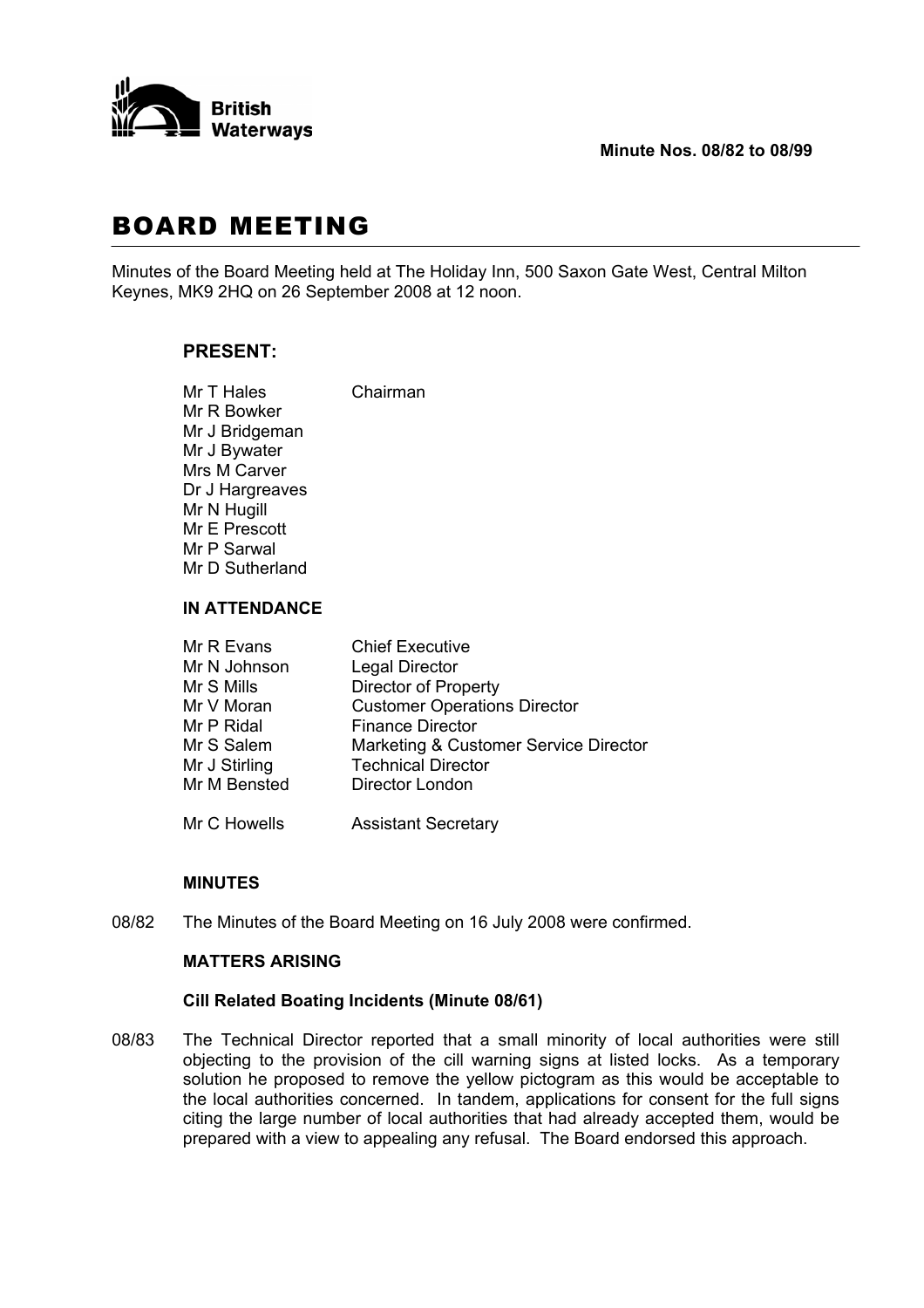

## **Minute Nos. 08/82 to 08/99**

# BOARD MEETING

Minutes of the Board Meeting held at The Holiday Inn, 500 Saxon Gate West, Central Milton Keynes, MK9 2HQ on 26 September 2008 at 12 noon.

## **PRESENT:**

Mr T Hales Chairman Mr R Bowker Mr J Bridgeman Mr J Bywater Mrs M Carver Dr J Hargreaves Mr N Hugill Mr E Prescott Mr P Sarwal Mr D Sutherland

# **IN ATTENDANCE**

| Mr R Evans    | <b>Chief Executive</b>                |
|---------------|---------------------------------------|
| Mr N Johnson  | <b>Legal Director</b>                 |
| Mr S Mills    | <b>Director of Property</b>           |
| Mr V Moran    | <b>Customer Operations Director</b>   |
| Mr P Ridal    | <b>Finance Director</b>               |
| Mr S Salem    | Marketing & Customer Service Director |
| Mr J Stirling | <b>Technical Director</b>             |
| Mr M Bensted  | Director London                       |
| Mr C Howells  | <b>Assistant Secretary</b>            |

#### **MINUTES**

08/82 The Minutes of the Board Meeting on 16 July 2008 were confirmed.

## **MATTERS ARISING**

#### **Cill Related Boating Incidents (Minute 08/61)**

08/83 The Technical Director reported that a small minority of local authorities were still objecting to the provision of the cill warning signs at listed locks. As a temporary solution he proposed to remove the yellow pictogram as this would be acceptable to the local authorities concerned. In tandem, applications for consent for the full signs citing the large number of local authorities that had already accepted them, would be prepared with a view to appealing any refusal. The Board endorsed this approach.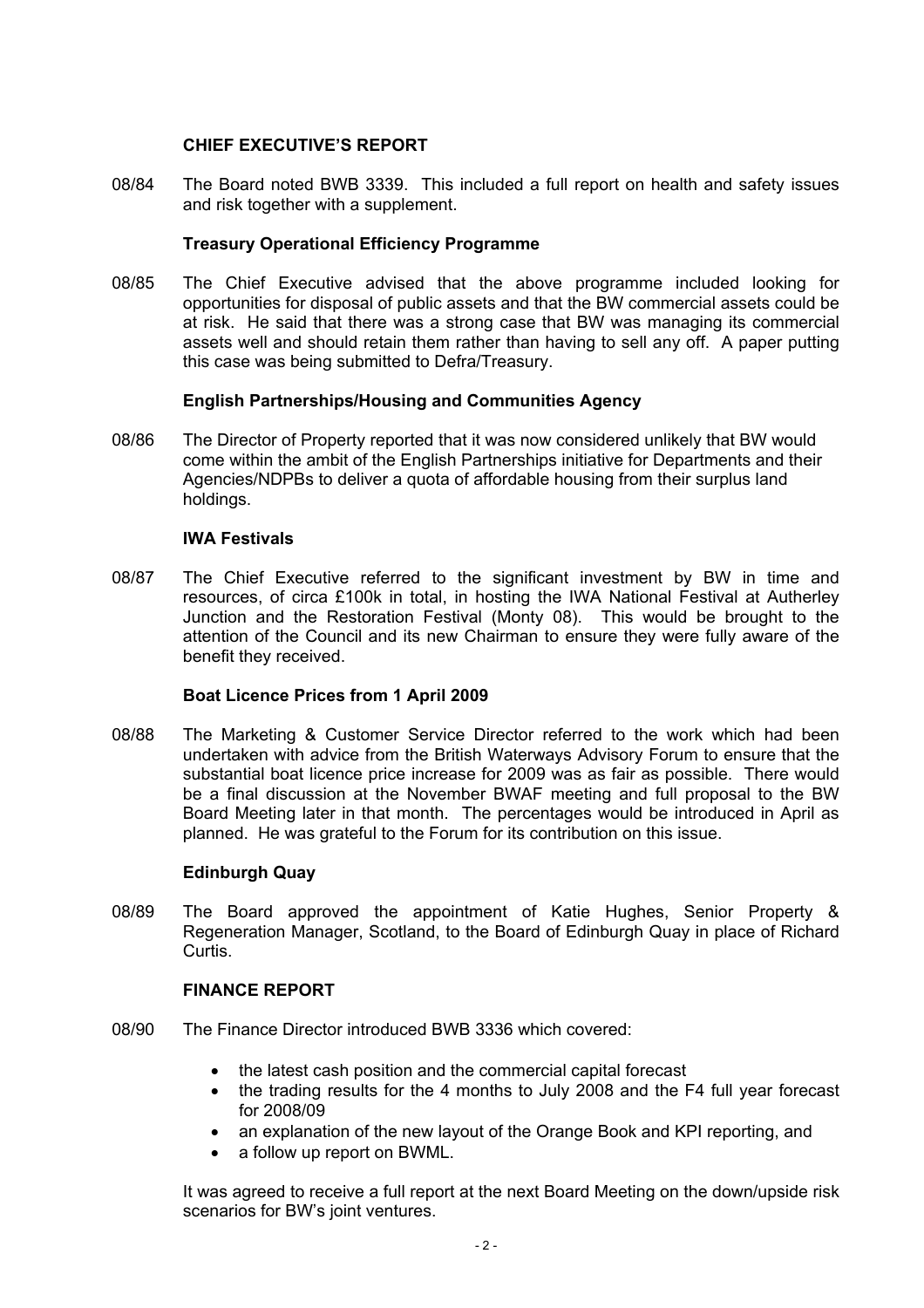## **CHIEF EXECUTIVE'S REPORT**

08/84 The Board noted BWB 3339. This included a full report on health and safety issues and risk together with a supplement.

## **Treasury Operational Efficiency Programme**

08/85 The Chief Executive advised that the above programme included looking for opportunities for disposal of public assets and that the BW commercial assets could be at risk. He said that there was a strong case that BW was managing its commercial assets well and should retain them rather than having to sell any off. A paper putting this case was being submitted to Defra/Treasury.

## **English Partnerships/Housing and Communities Agency**

08/86 The Director of Property reported that it was now considered unlikely that BW would come within the ambit of the English Partnerships initiative for Departments and their Agencies/NDPBs to deliver a quota of affordable housing from their surplus land holdings.

## **IWA Festivals**

08/87 The Chief Executive referred to the significant investment by BW in time and resources, of circa £100k in total, in hosting the IWA National Festival at Autherley Junction and the Restoration Festival (Monty 08). This would be brought to the attention of the Council and its new Chairman to ensure they were fully aware of the benefit they received.

## **Boat Licence Prices from 1 April 2009**

08/88 The Marketing & Customer Service Director referred to the work which had been undertaken with advice from the British Waterways Advisory Forum to ensure that the substantial boat licence price increase for 2009 was as fair as possible. There would be a final discussion at the November BWAF meeting and full proposal to the BW Board Meeting later in that month. The percentages would be introduced in April as planned. He was grateful to the Forum for its contribution on this issue.

## **Edinburgh Quay**

08/89 The Board approved the appointment of Katie Hughes, Senior Property & Regeneration Manager, Scotland, to the Board of Edinburgh Quay in place of Richard Curtis.

#### **FINANCE REPORT**

- 08/90 The Finance Director introduced BWB 3336 which covered:
	- the latest cash position and the commercial capital forecast
	- the trading results for the 4 months to July 2008 and the F4 full year forecast for 2008/09
	- an explanation of the new layout of the Orange Book and KPI reporting, and
	- a follow up report on BWML.

 It was agreed to receive a full report at the next Board Meeting on the down/upside risk scenarios for BW's joint ventures.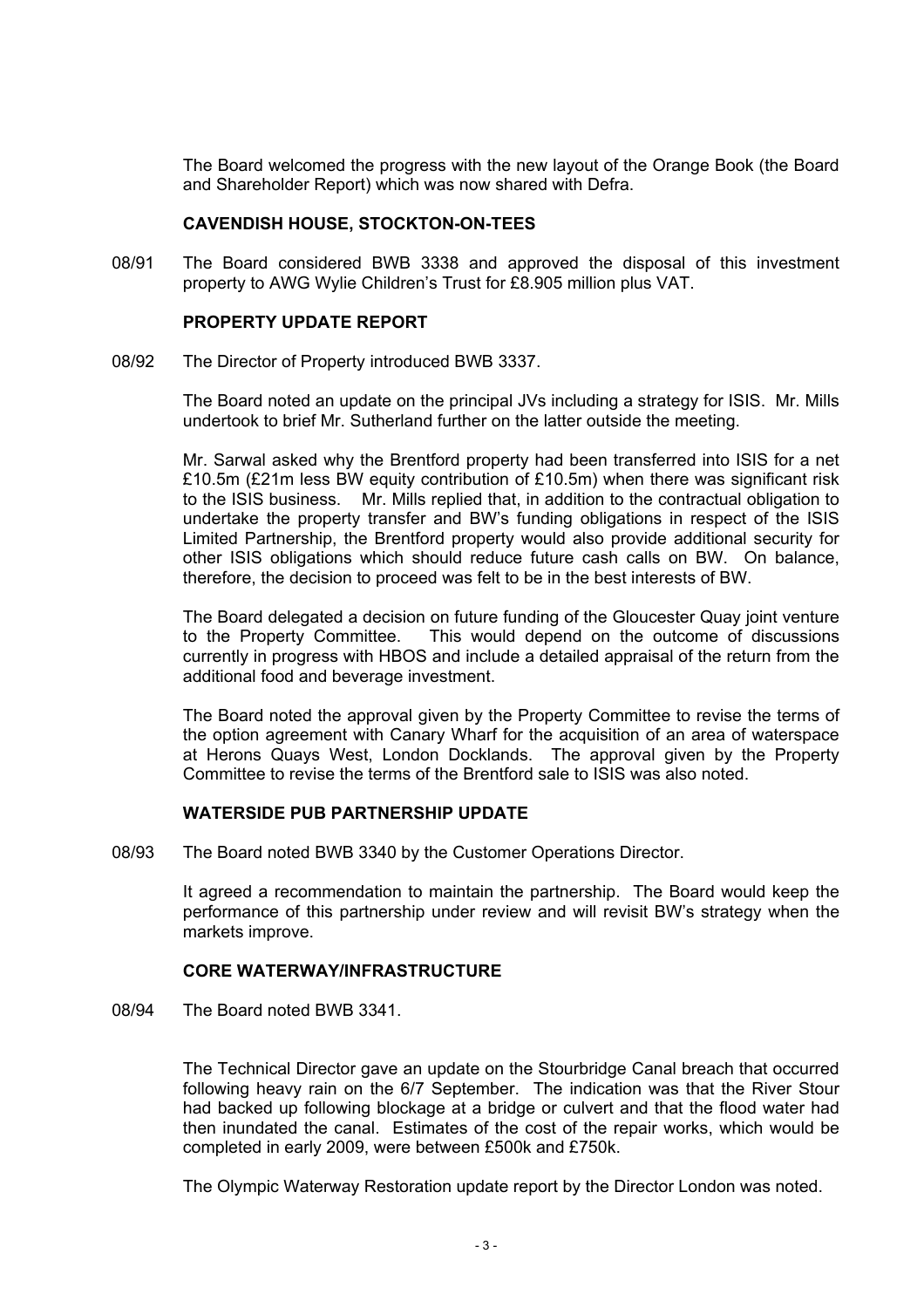The Board welcomed the progress with the new layout of the Orange Book (the Board and Shareholder Report) which was now shared with Defra.

#### **CAVENDISH HOUSE, STOCKTON-ON-TEES**

08/91 The Board considered BWB 3338 and approved the disposal of this investment property to AWG Wylie Children's Trust for £8.905 million plus VAT.

## **PROPERTY UPDATE REPORT**

08/92 The Director of Property introduced BWB 3337.

 The Board noted an update on the principal JVs including a strategy for ISIS. Mr. Mills undertook to brief Mr. Sutherland further on the latter outside the meeting.

 Mr. Sarwal asked why the Brentford property had been transferred into ISIS for a net £10.5m (£21m less BW equity contribution of £10.5m) when there was significant risk to the ISIS business. Mr. Mills replied that, in addition to the contractual obligation to undertake the property transfer and BW's funding obligations in respect of the ISIS Limited Partnership, the Brentford property would also provide additional security for other ISIS obligations which should reduce future cash calls on BW. On balance, therefore, the decision to proceed was felt to be in the best interests of BW.

 The Board delegated a decision on future funding of the Gloucester Quay joint venture to the Property Committee. This would depend on the outcome of discussions currently in progress with HBOS and include a detailed appraisal of the return from the additional food and beverage investment.

 The Board noted the approval given by the Property Committee to revise the terms of the option agreement with Canary Wharf for the acquisition of an area of waterspace at Herons Quays West, London Docklands. The approval given by the Property Committee to revise the terms of the Brentford sale to ISIS was also noted.

## **WATERSIDE PUB PARTNERSHIP UPDATE**

08/93 The Board noted BWB 3340 by the Customer Operations Director.

 It agreed a recommendation to maintain the partnership. The Board would keep the performance of this partnership under review and will revisit BW's strategy when the markets improve.

## **CORE WATERWAY/INFRASTRUCTURE**

08/94 The Board noted BWB 3341.

 The Technical Director gave an update on the Stourbridge Canal breach that occurred following heavy rain on the 6/7 September. The indication was that the River Stour had backed up following blockage at a bridge or culvert and that the flood water had then inundated the canal. Estimates of the cost of the repair works, which would be completed in early 2009, were between £500k and £750k.

The Olympic Waterway Restoration update report by the Director London was noted.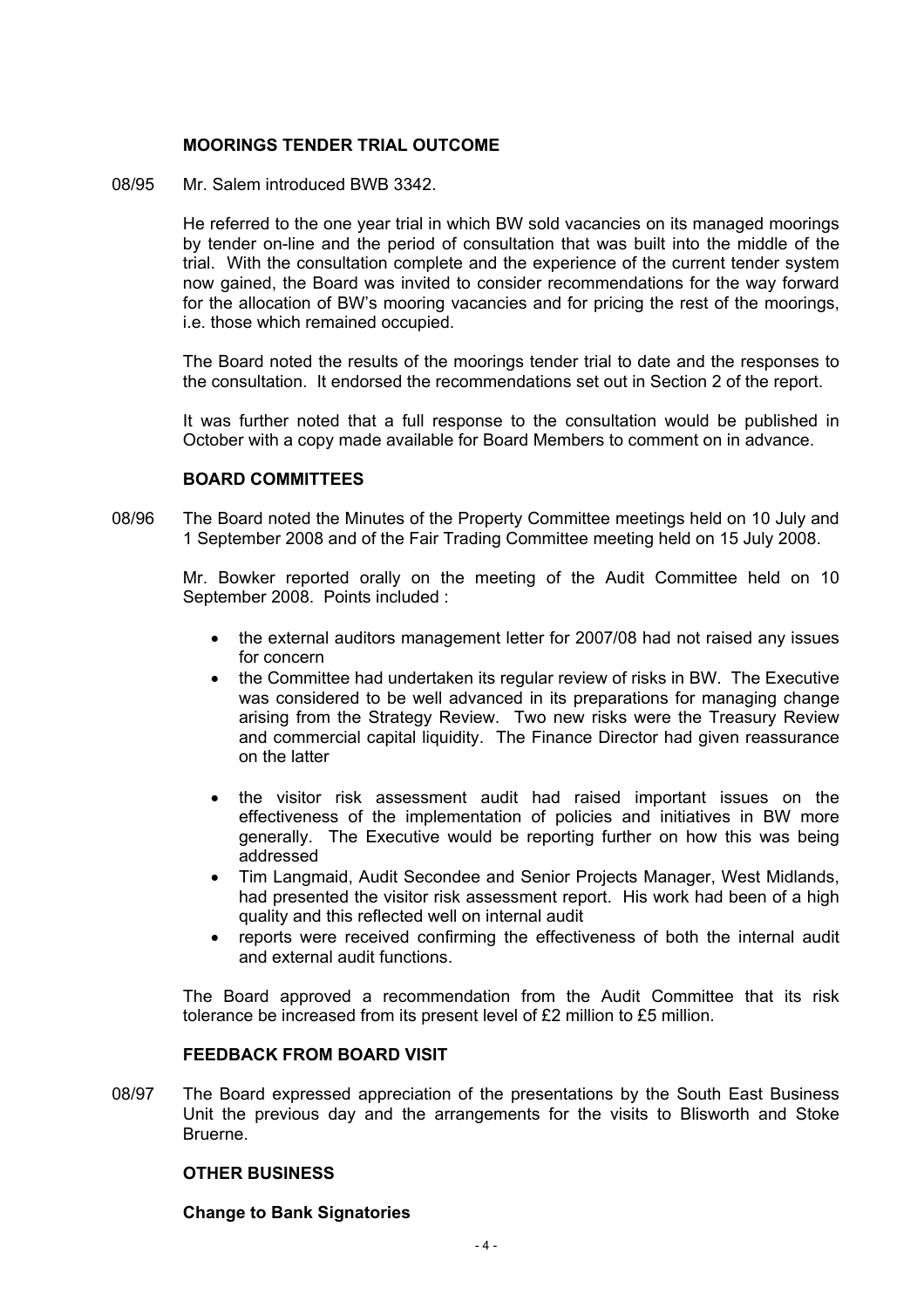## **MOORINGS TENDER TRIAL OUTCOME**

08/95 Mr. Salem introduced BWB 3342.

 He referred to the one year trial in which BW sold vacancies on its managed moorings by tender on-line and the period of consultation that was built into the middle of the trial. With the consultation complete and the experience of the current tender system now gained, the Board was invited to consider recommendations for the way forward for the allocation of BW's mooring vacancies and for pricing the rest of the moorings, i.e. those which remained occupied.

 The Board noted the results of the moorings tender trial to date and the responses to the consultation. It endorsed the recommendations set out in Section 2 of the report.

 It was further noted that a full response to the consultation would be published in October with a copy made available for Board Members to comment on in advance.

#### **BOARD COMMITTEES**

08/96 The Board noted the Minutes of the Property Committee meetings held on 10 July and 1 September 2008 and of the Fair Trading Committee meeting held on 15 July 2008.

 Mr. Bowker reported orally on the meeting of the Audit Committee held on 10 September 2008. Points included :

- the external auditors management letter for 2007/08 had not raised any issues for concern
- the Committee had undertaken its regular review of risks in BW. The Executive was considered to be well advanced in its preparations for managing change arising from the Strategy Review. Two new risks were the Treasury Review and commercial capital liquidity. The Finance Director had given reassurance on the latter
- the visitor risk assessment audit had raised important issues on the effectiveness of the implementation of policies and initiatives in BW more generally. The Executive would be reporting further on how this was being addressed
- Tim Langmaid, Audit Secondee and Senior Projects Manager, West Midlands, had presented the visitor risk assessment report. His work had been of a high quality and this reflected well on internal audit
- reports were received confirming the effectiveness of both the internal audit and external audit functions.

 The Board approved a recommendation from the Audit Committee that its risk tolerance be increased from its present level of £2 million to £5 million.

#### **FEEDBACK FROM BOARD VISIT**

08/97 The Board expressed appreciation of the presentations by the South East Business Unit the previous day and the arrangements for the visits to Blisworth and Stoke Bruerne.

#### **OTHER BUSINESS**

#### **Change to Bank Signatories**